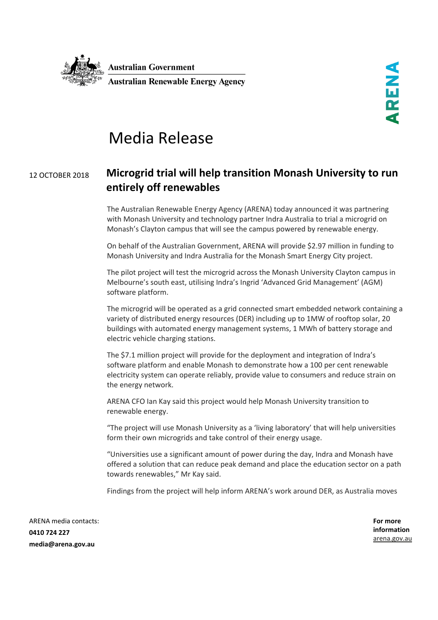

## Media Release

## <sup>12</sup> OCTOBER <sup>2018</sup> **Microgrid trial will help transition Monash University to run entirely off renewables**

The Australian Renewable Energy Agency (ARENA) today announced it was partnering with Monash University and technology partner Indra Australia to trial a microgrid on Monash's Clayton campus that will see the campus powered by renewable energy.

On behalf of the Australian Government, ARENA will provide \$2.97 million in funding to Monash University and Indra Australia for the Monash Smart Energy City project.

The pilot project will test the microgrid across the Monash University Clayton campus in Melbourne's south east, utilising Indra's Ingrid 'Advanced Grid Management' (AGM) software platform.

The microgrid will be operated as a grid connected smart embedded network containing a variety of distributed energy resources (DER) including up to 1MW of rooftop solar, 20 buildings with automated energy management systems, 1 MWh of battery storage and electric vehicle charging stations.

The \$7.1 million project will provide for the deployment and integration of Indra's software platform and enable Monash to demonstrate how a 100 per cent renewable electricity system can operate reliably, provide value to consumers and reduce strain on the energy network.

ARENA CFO Ian Kay said this project would help Monash University transition to renewable energy.

"The project will use Monash University as a 'living laboratory' that will help universities form their own microgrids and take control of their energy usage.

"Universities use a significant amount of power during the day, Indra and Monash have offered a solution that can reduce peak demand and place the education sector on a path towards renewables," Mr Kay said.

Findings from the project will help inform ARENA's work around DER, as Australia moves

ARENA media contacts: **0410 724 227 media@arena.gov.au**

**For more information** [arena.gov.au](http://www.arena.gov.au/)